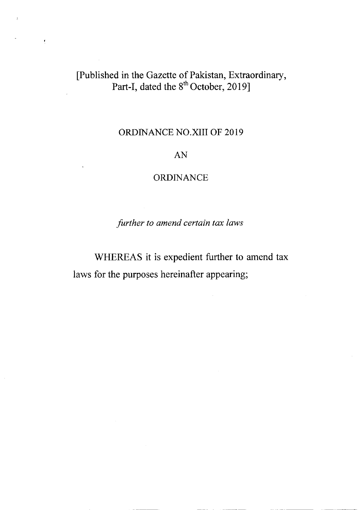# fPublished in the Gazette of Pakistan, Extraordinary, Part-I, dated the  $8^{\circ\circ}$  October, 2019]

 $\overline{\mathbf{t}}$ 

## ORDINANCE NO.KII OF 2019

### AN

### **ORDINANCE**

further to amend certain tax laws

WHEREAS it is expedient further to amend tax laws for the purposes hereinafter appearing;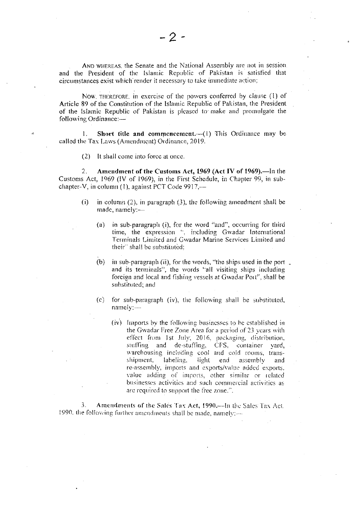AND WHEREAS, the Senate and the National Assembly are not in session. and the President of the Islamic Republic of Pakistan is satisfied that circumstances exist which render it necessary to take immediate action;

Now, THEREFORE, in exercise of the powers conferred by clause (1) of Article 89 of the Constitution of the Islamic Republic of Pakistan, the President of the Islamic Republic of Pakistan is pleased to make and promulgate the following Ordinance:-

Short title and commencement. $-(1)$  This Ordinance may be 1. called the Tax Laws (Amendment) Ordinance, 2019.

(2) It shall come into force at once.

 $2.$ Amendment of the Customs Act, 1969 (Act IV of 1969).—In the Customs Act, 1969 (IV of 1969), in the First Schedule, in Chapter 99, in subchapter-V, in column (1), against PCT Code 9917,--

- $(i)$ in column  $(2)$ , in paragraph  $(3)$ , the following amendment shall be made, namely:
	- in sub-paragraph (i), for the word "and", occurring for third  $(a)$ time, the expression ", including Gwadar International Terminals Limited and Gwadar Marine Services Limited and their" shall be substituted:
	- $(b)$ in sub-paragraph (ii), for the words, "the ships used in the port \_ and its terminals", the words "all visiting ships including foreign and local and fishing vessels at Gwadar Port", shall be substituted; and
	- for sub-paragraph (iv), the following shall be substituted,  $(c)$  $namely$  —
		- (iv) Imports by the following businesses to be established in the Gwadar Free Zone Area for a period of 23 years with effect from 1st July, 2016, packaging, distribution, stuffing and de-stuffing, CFS, container vard. warehousing including cool and cold rooms, translabeling. light end shipment. assembly and re-assembly, imports and exports/value added exports, value adding of imports, other similar or related businesses activities and such commercial activities as are required to support the free zone.".

3. Amendments of the Sales Tax Act, 1990.—In the Sales Tax Act. 1990, the following further amendments shall be made, namely:-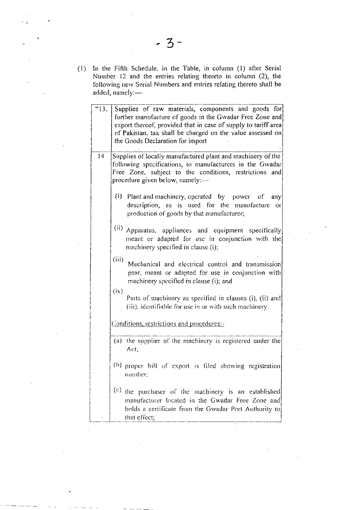In the Fifth Schedule, in the Table, in column (1) after Serial  $(1)$ Number 12 and the entries relating thereto in column (2), the following new Serial Numbers and entries relating thereto shall be added, namely:-

| $\overline{3}$ . | Supplies of raw materials, components and goods for<br>further manufacture of goods in the Gwadar Free Zone and<br>export thereof, provided that in case of supply to tariff area<br>of Pakistan, tax shall be charged on the value assessed on<br>the Goods Declaration for import |
|------------------|-------------------------------------------------------------------------------------------------------------------------------------------------------------------------------------------------------------------------------------------------------------------------------------|
| 4                | Supplies of locally manufactured plant and machinery of the<br>following specifications, to manufacturers in the Gwadar<br>Free Zone, subject to the conditions, restrictions<br>and<br>procedure given below, namely:-                                                             |
|                  | $(i)$ Plant and machinery, operated by power of<br>any<br>description, as is used for the manufacture<br> 10<br>production of goods by that manufacturer;                                                                                                                           |
|                  | (ii) Apparatus, appliances and equipment specifically<br>meant or adapted for use in conjunction with the<br>machinery specified in clause (i);                                                                                                                                     |
|                  | (iii)<br>Mechanical and electrical control and transmission<br>gear, meant or adapted for use in conjunction with<br>machinery specified in clause (i); and                                                                                                                         |
|                  | (iv)<br>Parts of machinery as specified in clauses (i), (ii) and<br>(iii), identifiable for use in or with such machinery.                                                                                                                                                          |
|                  | Conditions, restrictions and procedures:-                                                                                                                                                                                                                                           |
|                  | (a) the supplier of the machinery is registered under the<br>Act.                                                                                                                                                                                                                   |
|                  | (b) proper bill of export is filed showing registration<br>number;                                                                                                                                                                                                                  |
|                  | (c)<br>the purchaser of the machinery is an established<br>manufacturer located in the Gwadar Free Zone and<br>holds a certificate from the Gwadar Port Authority to<br>that effect;                                                                                                |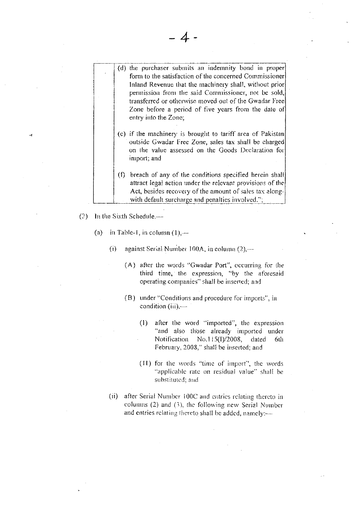- (d) the purchaser submits an indemnity bond in proper form to the satisfaction of the concerned Commissioner Inland Revenue that the machinery shall, without prior permission from the said Commissioner, not be sold, transferred or otherwise moved out of the Gwadar Free Zone before a period of five years from the date of entry into the Zone;
	- (e) if the machinery is brought to tariff area of Pakistan outside Gwadar Free Zone, sales tax shall be charged on the value assessed on the Goods Declaration for import; and
	- (f) breach of any of the conditions specified herein shall attract legal action under the relevant provisions of the Act, besides recovery of the amount of sales tax alongwith default surcharge and penalties involved.";
- $(2)$  In the Sixth Schedule,—
	- $\left( a\right)$ in Table-1, in column  $(1)$ ,—
		- $(i)$ against Serial Number 100A, in column (2),—
			- (A) after the words "Gwadar Port", occurring for the third time, the expression, "by the aforesaid operating companies" shall be inserted; and
			- (B) under "Conditions and procedure for imports", in condition  $(iii)$ ,—
				- $(1)$ after the word "imported", the expression "and also those already imported under Notification No.115(I)/2008, dated 6th February, 2008," shall be inserted; and
				- (11) for the words "time of import", the words "applicable rate on residual value" shall be substituted; and
		- (ii) after Serial Number 100C and entries relating thereto in columns  $(2)$  and  $(3)$ , the following new Serial Number and entries relating thereto shall be added, namely:---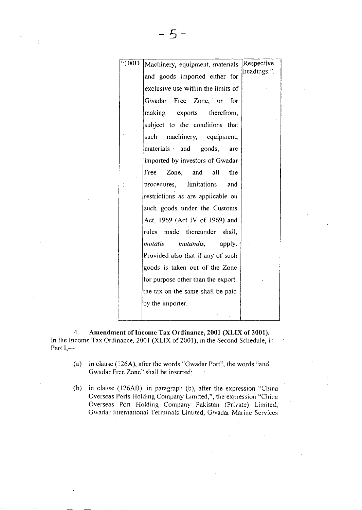| 400D | Machinery, equipment, materials    | Respective  |
|------|------------------------------------|-------------|
|      |                                    | headings.". |
|      | and goods imported either for      |             |
|      | exclusive use within the limits of |             |
|      | Gwadar Free Zone, or for           |             |
|      | making exports therefrom,          |             |
|      | subject to the conditions that     |             |
|      | such<br>machinery, equipment,      |             |
|      | materials and goods,<br>are        |             |
|      | imported by investors of Gwadar    |             |
|      | Free Zone, and all<br>the          |             |
|      | procedures, limitations<br>and     |             |
|      | restrictions as are applicable on  |             |
|      | such goods under the Customs       |             |
|      | Act, 1969 (Act IV of 1969) and     |             |
|      | rules made thereunder shall,       |             |
|      | mutatis<br>mutandis,<br>apply.     |             |
|      | Provided also that if any of such  |             |
|      | goods is taken out of the Zone     |             |
|      | for purpose other than the export, |             |
|      | the tax on the same shall be paid  |             |
|      | by the importer.                   |             |
|      |                                    |             |

4. Amendment of Income Tax Ordinance, 2001 (XLIX of 2001).- In the Income Tax Ordinance, 2001 (XLIX of 2001), in the Second Schedule, in Part  $I,$ —

- (a) in clause (126A), after the words "Gwadar Port", the words "and Gwadar Free Zone" shall be inserted;
- (b) in clause (l26A8), in paragraph (b), after the expression "China Overseas Ports Holding Company Limited,", the expression "China Overseas Port Holding Company Pakistan (Private) Limited, Gwadar International Terminals Limited, Gwadar Marine Services